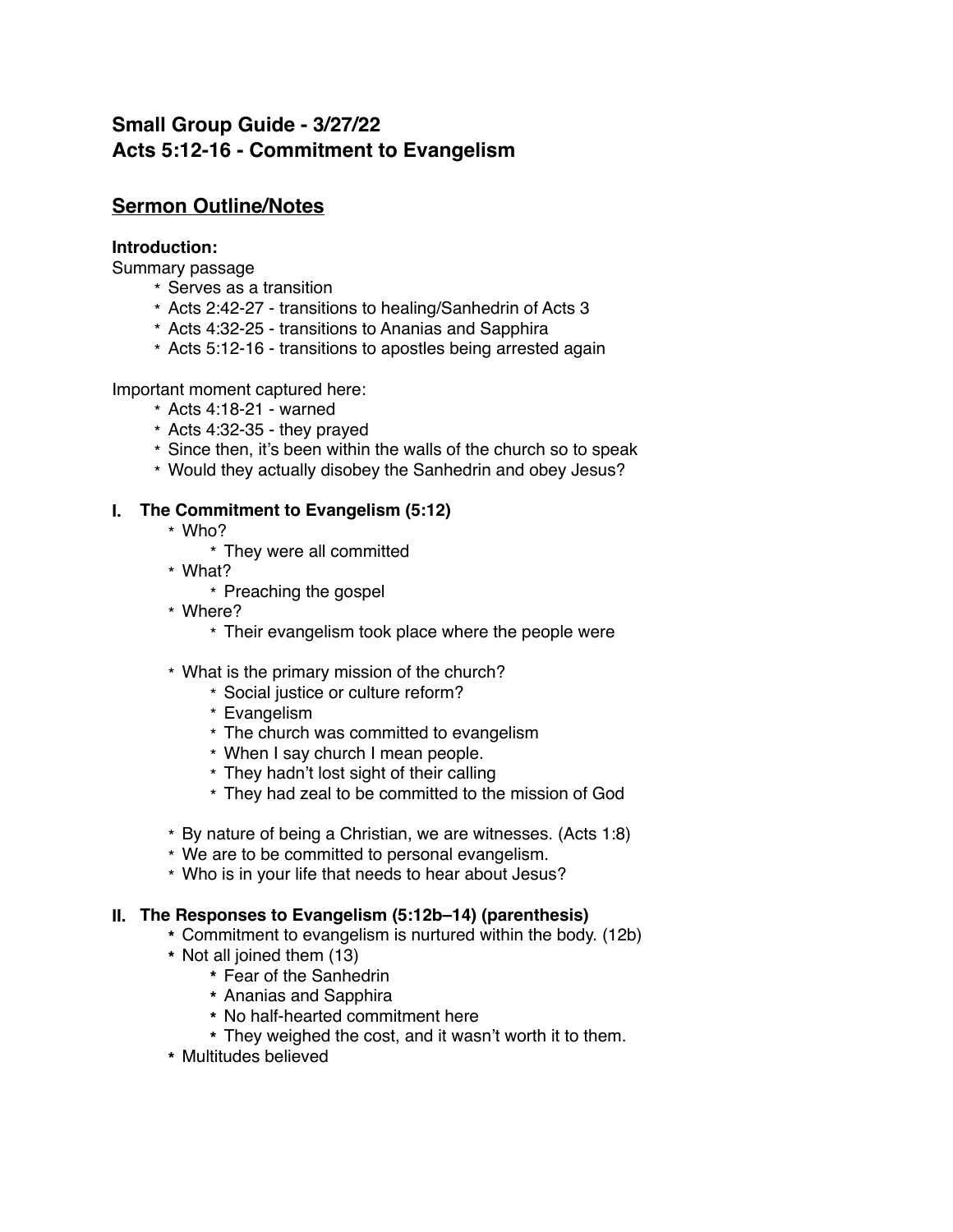# **Small Group Guide - 3/27/22 Acts 5:12-16 - Commitment to Evangelism**

# **Sermon Outline/Notes**

## **Introduction:**

Summary passage

- \* Serves as a transition
- \* Acts 2:42-27 transitions to healing/Sanhedrin of Acts 3
- \* Acts 4:32-25 transitions to Ananias and Sapphira
- \* Acts 5:12-16 transitions to apostles being arrested again

Important moment captured here:

- \* Acts 4:18-21 warned
- \* Acts 4:32-35 they prayed
- \* Since then, it's been within the walls of the church so to speak
- \* Would they actually disobey the Sanhedrin and obey Jesus?

## **I. The Commitment to Evangelism (5:12)**

- \* Who?
	- \* They were all committed
- \* What?
	- \* Preaching the gospel
- \* Where?
	- \* Their evangelism took place where the people were
- \* What is the primary mission of the church?
	- \* Social justice or culture reform?
	- \* Evangelism
	- \* The church was committed to evangelism
	- \* When I say church I mean people.
	- \* They hadn't lost sight of their calling
	- \* They had zeal to be committed to the mission of God
- \* By nature of being a Christian, we are witnesses. (Acts 1:8)
- \* We are to be committed to personal evangelism.
- \* Who is in your life that needs to hear about Jesus?

## **II. The Responses to Evangelism (5:12b–14) (parenthesis)**

- **\*** Commitment to evangelism is nurtured within the body. (12b)
- **\*** Not all joined them (13)
	- **\*** Fear of the Sanhedrin
	- **\*** Ananias and Sapphira
	- **\*** No half-hearted commitment here
	- **\*** They weighed the cost, and it wasn't worth it to them.
- **\*** Multitudes believed